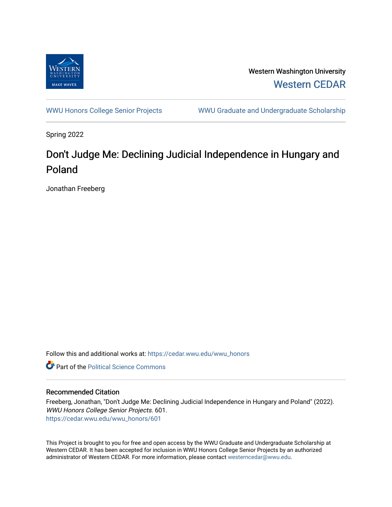

Western Washington University [Western CEDAR](https://cedar.wwu.edu/) 

[WWU Honors College Senior Projects](https://cedar.wwu.edu/wwu_honors) WWU Graduate and Undergraduate Scholarship

Spring 2022

# Don't Judge Me: Declining Judicial Independence in Hungary and Poland

Jonathan Freeberg

Follow this and additional works at: [https://cedar.wwu.edu/wwu\\_honors](https://cedar.wwu.edu/wwu_honors?utm_source=cedar.wwu.edu%2Fwwu_honors%2F601&utm_medium=PDF&utm_campaign=PDFCoverPages) 

**C** Part of the Political Science Commons

#### Recommended Citation

Freeberg, Jonathan, "Don't Judge Me: Declining Judicial Independence in Hungary and Poland" (2022). WWU Honors College Senior Projects. 601. [https://cedar.wwu.edu/wwu\\_honors/601](https://cedar.wwu.edu/wwu_honors/601?utm_source=cedar.wwu.edu%2Fwwu_honors%2F601&utm_medium=PDF&utm_campaign=PDFCoverPages)

This Project is brought to you for free and open access by the WWU Graduate and Undergraduate Scholarship at Western CEDAR. It has been accepted for inclusion in WWU Honors College Senior Projects by an authorized administrator of Western CEDAR. For more information, please contact [westerncedar@wwu.edu](mailto:westerncedar@wwu.edu).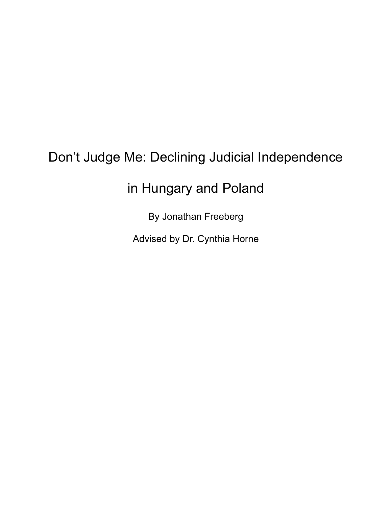# Don't Judge Me: Declining Judicial Independence

# in Hungary and Poland

By Jonathan Freeberg

Advised by Dr. Cynthia Horne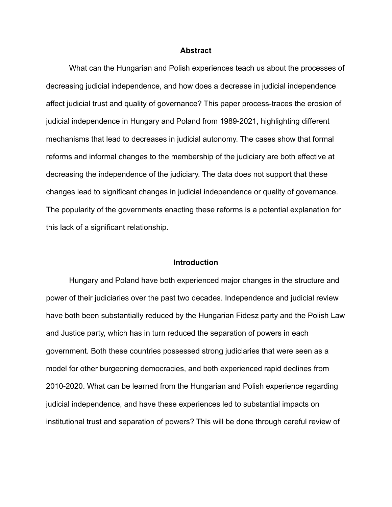#### **Abstract**

What can the Hungarian and Polish experiences teach us about the processes of decreasing judicial independence, and how does a decrease in judicial independence affect judicial trust and quality of governance? This paper process-traces the erosion of judicial independence in Hungary and Poland from 1989-2021, highlighting different mechanisms that lead to decreases in judicial autonomy. The cases show that formal reforms and informal changes to the membership of the judiciary are both effective at decreasing the independence of the judiciary. The data does not support that these changes lead to significant changes in judicial independence or quality of governance. The popularity of the governments enacting these reforms is a potential explanation for this lack of a significant relationship.

#### **Introduction**

Hungary and Poland have both experienced major changes in the structure and power of their judiciaries over the past two decades. Independence and judicial review have both been substantially reduced by the Hungarian Fidesz party and the Polish Law and Justice party, which has in turn reduced the separation of powers in each government. Both these countries possessed strong judiciaries that were seen as a model for other burgeoning democracies, and both experienced rapid declines from 2010-2020. What can be learned from the Hungarian and Polish experience regarding judicial independence, and have these experiences led to substantial impacts on institutional trust and separation of powers? This will be done through careful review of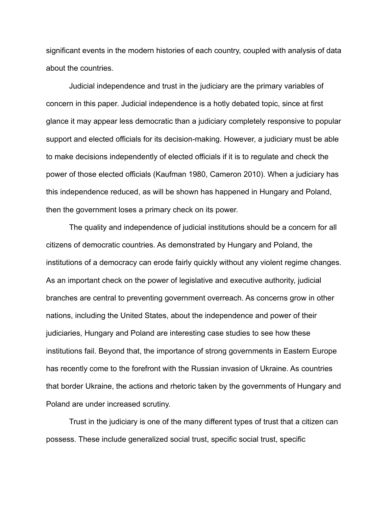significant events in the modern histories of each country, coupled with analysis of data about the countries.

Judicial independence and trust in the judiciary are the primary variables of concern in this paper. Judicial independence is a hotly debated topic, since at first glance it may appear less democratic than a judiciary completely responsive to popular support and elected officials for its decision-making. However, a judiciary must be able to make decisions independently of elected officials if it is to regulate and check the power of those elected officials (Kaufman 1980, Cameron 2010). When a judiciary has this independence reduced, as will be shown has happened in Hungary and Poland, then the government loses a primary check on its power.

The quality and independence of judicial institutions should be a concern for all citizens of democratic countries. As demonstrated by Hungary and Poland, the institutions of a democracy can erode fairly quickly without any violent regime changes. As an important check on the power of legislative and executive authority, judicial branches are central to preventing government overreach. As concerns grow in other nations, including the United States, about the independence and power of their judiciaries, Hungary and Poland are interesting case studies to see how these institutions fail. Beyond that, the importance of strong governments in Eastern Europe has recently come to the forefront with the Russian invasion of Ukraine. As countries that border Ukraine, the actions and rhetoric taken by the governments of Hungary and Poland are under increased scrutiny.

Trust in the judiciary is one of the many different types of trust that a citizen can possess. These include generalized social trust, specific social trust, specific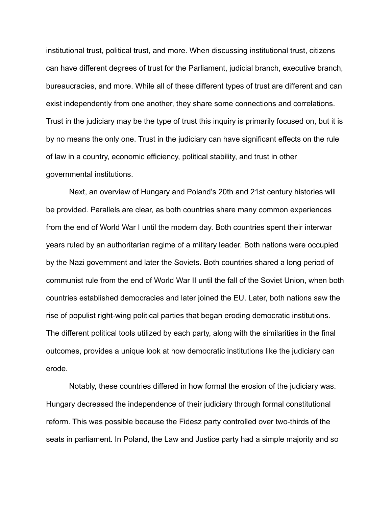institutional trust, political trust, and more. When discussing institutional trust, citizens can have different degrees of trust for the Parliament, judicial branch, executive branch, bureaucracies, and more. While all of these different types of trust are different and can exist independently from one another, they share some connections and correlations. Trust in the judiciary may be the type of trust this inquiry is primarily focused on, but it is by no means the only one. Trust in the judiciary can have significant effects on the rule of law in a country, economic efficiency, political stability, and trust in other governmental institutions.

Next, an overview of Hungary and Poland's 20th and 21st century histories will be provided. Parallels are clear, as both countries share many common experiences from the end of World War I until the modern day. Both countries spent their interwar years ruled by an authoritarian regime of a military leader. Both nations were occupied by the Nazi government and later the Soviets. Both countries shared a long period of communist rule from the end of World War II until the fall of the Soviet Union, when both countries established democracies and later joined the EU. Later, both nations saw the rise of populist right-wing political parties that began eroding democratic institutions. The different political tools utilized by each party, along with the similarities in the final outcomes, provides a unique look at how democratic institutions like the judiciary can erode.

Notably, these countries differed in how formal the erosion of the judiciary was. Hungary decreased the independence of their judiciary through formal constitutional reform. This was possible because the Fidesz party controlled over two-thirds of the seats in parliament. In Poland, the Law and Justice party had a simple majority and so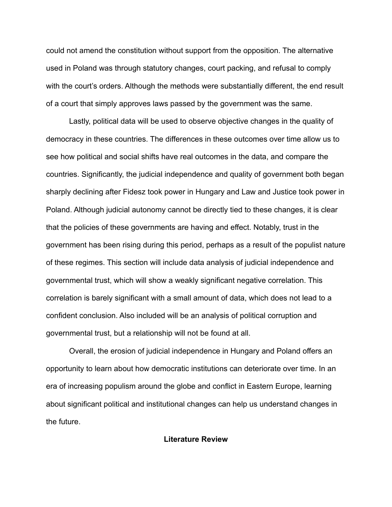could not amend the constitution without support from the opposition. The alternative used in Poland was through statutory changes, court packing, and refusal to comply with the court's orders. Although the methods were substantially different, the end result of a court that simply approves laws passed by the government was the same.

Lastly, political data will be used to observe objective changes in the quality of democracy in these countries. The differences in these outcomes over time allow us to see how political and social shifts have real outcomes in the data, and compare the countries. Significantly, the judicial independence and quality of government both began sharply declining after Fidesz took power in Hungary and Law and Justice took power in Poland. Although judicial autonomy cannot be directly tied to these changes, it is clear that the policies of these governments are having and effect. Notably, trust in the government has been rising during this period, perhaps as a result of the populist nature of these regimes. This section will include data analysis of judicial independence and governmental trust, which will show a weakly significant negative correlation. This correlation is barely significant with a small amount of data, which does not lead to a confident conclusion. Also included will be an analysis of political corruption and governmental trust, but a relationship will not be found at all.

Overall, the erosion of judicial independence in Hungary and Poland offers an opportunity to learn about how democratic institutions can deteriorate over time. In an era of increasing populism around the globe and conflict in Eastern Europe, learning about significant political and institutional changes can help us understand changes in the future.

#### **Literature Review**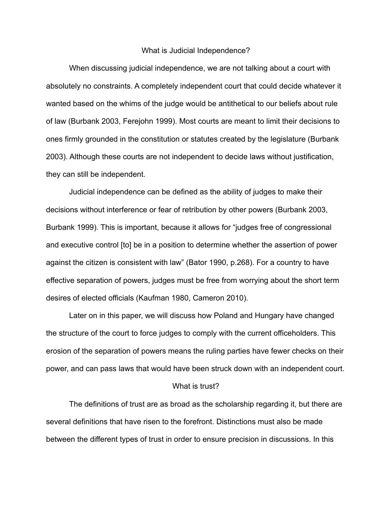#### What is Judicial Independence?

When discussing judicial independence, we are not talking about a court with absolutely no constraints. A completely independent court that could decide whatever it wanted based on the whims of the judge would be antithetical to our beliefs about rule of law (Burbank 2003, Ferejohn 1999). Most courts are meant to limit their decisions to ones firmly grounded in the constitution or statutes created by the legislature (Burbank 2003). Although these courts are not independent to decide laws without justification, they can still be independent.

Judicial independence can be defined as the ability of judges to make their decisions without interference or fear of retribution by other powers (Burbank 2003, Burbank 1999). This is important, because it allows for "judges free of congressional and executive control [to] be in a position to determine whether the assertion of power against the citizen is consistent with law" (Bator 1990, p.268). For a country to have effective separation of powers, judges must be free from worrying about the short term desires of elected officials (Kaufman 1980, Cameron 2010).

Later on in this paper, we will discuss how Poland and Hungary have changed the structure of the court to force judges to comply with the current officeholders. This erosion of the separation of powers means the ruling parties have fewer checks on their power, and can pass laws that would have been struck down with an independent court.

#### What is trust?

The definitions of trust are as broad as the scholarship regarding it, but there are several definitions that have risen to the forefront. Distinctions must also be made between the different types of trust in order to ensure precision in discussions. In this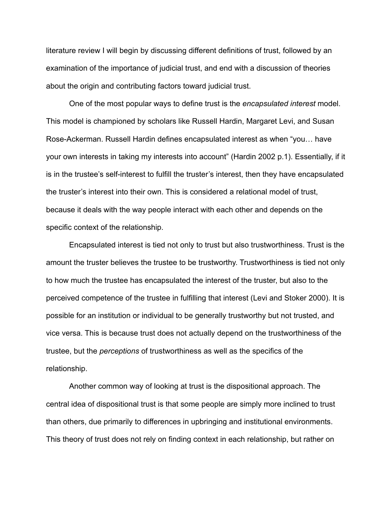literature review I will begin by discussing different definitions of trust, followed by an examination of the importance of judicial trust, and end with a discussion of theories about the origin and contributing factors toward judicial trust.

One of the most popular ways to define trust is the *encapsulated interest* model. This model is championed by scholars like Russell Hardin, Margaret Levi, and Susan Rose-Ackerman. Russell Hardin defines encapsulated interest as when "you… have your own interests in taking my interests into account" (Hardin 2002 p.1). Essentially, if it is in the trustee's self-interest to fulfill the truster's interest, then they have encapsulated the truster's interest into their own. This is considered a relational model of trust, because it deals with the way people interact with each other and depends on the specific context of the relationship.

Encapsulated interest is tied not only to trust but also trustworthiness. Trust is the amount the truster believes the trustee to be trustworthy. Trustworthiness is tied not only to how much the trustee has encapsulated the interest of the truster, but also to the perceived competence of the trustee in fulfilling that interest (Levi and Stoker 2000). It is possible for an institution or individual to be generally trustworthy but not trusted, and vice versa. This is because trust does not actually depend on the trustworthiness of the trustee, but the *perceptions* of trustworthiness as well as the specifics of the relationship.

Another common way of looking at trust is the dispositional approach. The central idea of dispositional trust is that some people are simply more inclined to trust than others, due primarily to differences in upbringing and institutional environments. This theory of trust does not rely on finding context in each relationship, but rather on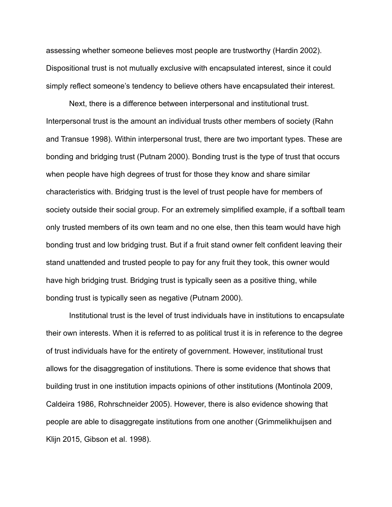assessing whether someone believes most people are trustworthy (Hardin 2002). Dispositional trust is not mutually exclusive with encapsulated interest, since it could simply reflect someone's tendency to believe others have encapsulated their interest.

Next, there is a difference between interpersonal and institutional trust. Interpersonal trust is the amount an individual trusts other members of society (Rahn and Transue 1998). Within interpersonal trust, there are two important types. These are bonding and bridging trust (Putnam 2000). Bonding trust is the type of trust that occurs when people have high degrees of trust for those they know and share similar characteristics with. Bridging trust is the level of trust people have for members of society outside their social group. For an extremely simplified example, if a softball team only trusted members of its own team and no one else, then this team would have high bonding trust and low bridging trust. But if a fruit stand owner felt confident leaving their stand unattended and trusted people to pay for any fruit they took, this owner would have high bridging trust. Bridging trust is typically seen as a positive thing, while bonding trust is typically seen as negative (Putnam 2000).

Institutional trust is the level of trust individuals have in institutions to encapsulate their own interests. When it is referred to as political trust it is in reference to the degree of trust individuals have for the entirety of government. However, institutional trust allows for the disaggregation of institutions. There is some evidence that shows that building trust in one institution impacts opinions of other institutions (Montinola 2009, Caldeira 1986, Rohrschneider 2005). However, there is also evidence showing that people are able to disaggregate institutions from one another (Grimmelikhuijsen and Klijn 2015, Gibson et al. 1998).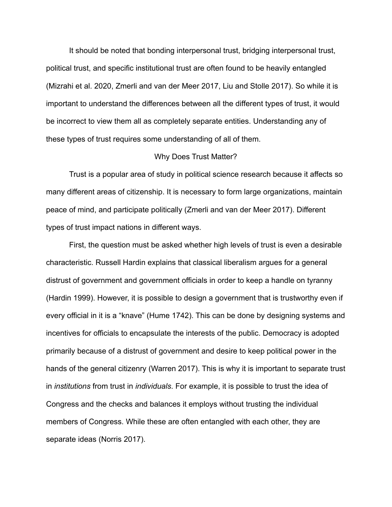It should be noted that bonding interpersonal trust, bridging interpersonal trust, political trust, and specific institutional trust are often found to be heavily entangled (Mizrahi et al. 2020, Zmerli and van der Meer 2017, Liu and Stolle 2017). So while it is important to understand the differences between all the different types of trust, it would be incorrect to view them all as completely separate entities. Understanding any of these types of trust requires some understanding of all of them.

#### Why Does Trust Matter?

Trust is a popular area of study in political science research because it affects so many different areas of citizenship. It is necessary to form large organizations, maintain peace of mind, and participate politically (Zmerli and van der Meer 2017). Different types of trust impact nations in different ways.

First, the question must be asked whether high levels of trust is even a desirable characteristic. Russell Hardin explains that classical liberalism argues for a general distrust of government and government officials in order to keep a handle on tyranny (Hardin 1999). However, it is possible to design a government that is trustworthy even if every official in it is a "knave" (Hume 1742). This can be done by designing systems and incentives for officials to encapsulate the interests of the public. Democracy is adopted primarily because of a distrust of government and desire to keep political power in the hands of the general citizenry (Warren 2017). This is why it is important to separate trust in *institutions* from trust in *individuals*. For example, it is possible to trust the idea of Congress and the checks and balances it employs without trusting the individual members of Congress. While these are often entangled with each other, they are separate ideas (Norris 2017).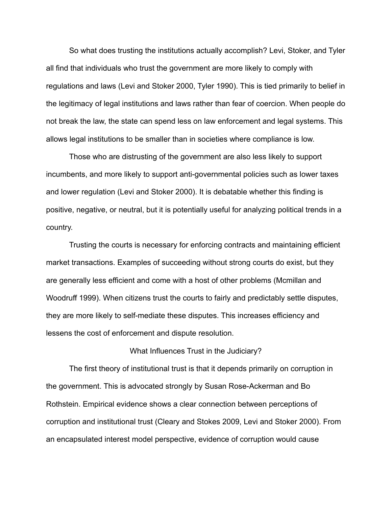So what does trusting the institutions actually accomplish? Levi, Stoker, and Tyler all find that individuals who trust the government are more likely to comply with regulations and laws (Levi and Stoker 2000, Tyler 1990). This is tied primarily to belief in the legitimacy of legal institutions and laws rather than fear of coercion. When people do not break the law, the state can spend less on law enforcement and legal systems. This allows legal institutions to be smaller than in societies where compliance is low.

Those who are distrusting of the government are also less likely to support incumbents, and more likely to support anti-governmental policies such as lower taxes and lower regulation (Levi and Stoker 2000). It is debatable whether this finding is positive, negative, or neutral, but it is potentially useful for analyzing political trends in a country.

Trusting the courts is necessary for enforcing contracts and maintaining efficient market transactions. Examples of succeeding without strong courts do exist, but they are generally less efficient and come with a host of other problems (Mcmillan and Woodruff 1999). When citizens trust the courts to fairly and predictably settle disputes, they are more likely to self-mediate these disputes. This increases efficiency and lessens the cost of enforcement and dispute resolution.

#### What Influences Trust in the Judiciary?

The first theory of institutional trust is that it depends primarily on corruption in the government. This is advocated strongly by Susan Rose-Ackerman and Bo Rothstein. Empirical evidence shows a clear connection between perceptions of corruption and institutional trust (Cleary and Stokes 2009, Levi and Stoker 2000). From an encapsulated interest model perspective, evidence of corruption would cause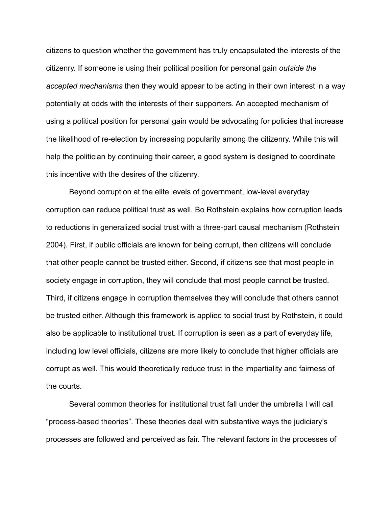citizens to question whether the government has truly encapsulated the interests of the citizenry. If someone is using their political position for personal gain *outside the accepted mechanisms* then they would appear to be acting in their own interest in a way potentially at odds with the interests of their supporters. An accepted mechanism of using a political position for personal gain would be advocating for policies that increase the likelihood of re-election by increasing popularity among the citizenry. While this will help the politician by continuing their career, a good system is designed to coordinate this incentive with the desires of the citizenry.

Beyond corruption at the elite levels of government, low-level everyday corruption can reduce political trust as well. Bo Rothstein explains how corruption leads to reductions in generalized social trust with a three-part causal mechanism (Rothstein 2004). First, if public officials are known for being corrupt, then citizens will conclude that other people cannot be trusted either. Second, if citizens see that most people in society engage in corruption, they will conclude that most people cannot be trusted. Third, if citizens engage in corruption themselves they will conclude that others cannot be trusted either. Although this framework is applied to social trust by Rothstein, it could also be applicable to institutional trust. If corruption is seen as a part of everyday life, including low level officials, citizens are more likely to conclude that higher officials are corrupt as well. This would theoretically reduce trust in the impartiality and fairness of the courts.

Several common theories for institutional trust fall under the umbrella I will call "process-based theories". These theories deal with substantive ways the judiciary's processes are followed and perceived as fair. The relevant factors in the processes of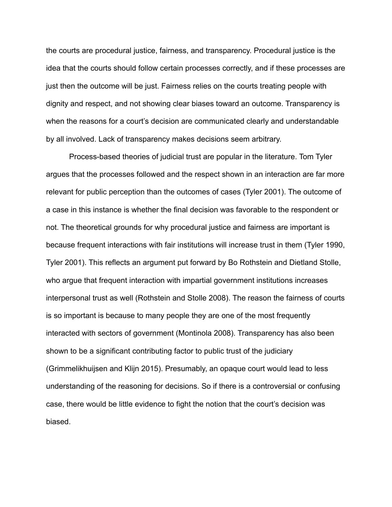the courts are procedural justice, fairness, and transparency. Procedural justice is the idea that the courts should follow certain processes correctly, and if these processes are just then the outcome will be just. Fairness relies on the courts treating people with dignity and respect, and not showing clear biases toward an outcome. Transparency is when the reasons for a court's decision are communicated clearly and understandable by all involved. Lack of transparency makes decisions seem arbitrary.

Process-based theories of judicial trust are popular in the literature. Tom Tyler argues that the processes followed and the respect shown in an interaction are far more relevant for public perception than the outcomes of cases (Tyler 2001). The outcome of a case in this instance is whether the final decision was favorable to the respondent or not. The theoretical grounds for why procedural justice and fairness are important is because frequent interactions with fair institutions will increase trust in them (Tyler 1990, Tyler 2001). This reflects an argument put forward by Bo Rothstein and Dietland Stolle, who argue that frequent interaction with impartial government institutions increases interpersonal trust as well (Rothstein and Stolle 2008). The reason the fairness of courts is so important is because to many people they are one of the most frequently interacted with sectors of government (Montinola 2008). Transparency has also been shown to be a significant contributing factor to public trust of the judiciary (Grimmelikhuijsen and Klijn 2015). Presumably, an opaque court would lead to less understanding of the reasoning for decisions. So if there is a controversial or confusing case, there would be little evidence to fight the notion that the court's decision was biased.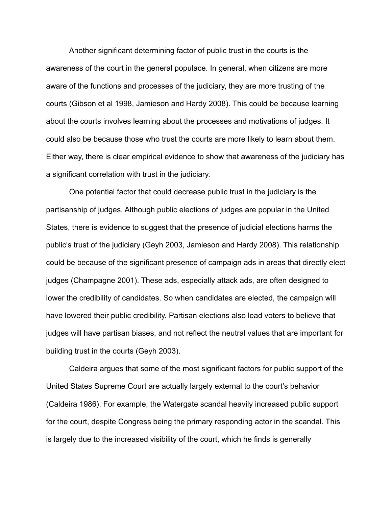Another significant determining factor of public trust in the courts is the awareness of the court in the general populace. In general, when citizens are more aware of the functions and processes of the judiciary, they are more trusting of the courts (Gibson et al 1998, Jamieson and Hardy 2008). This could be because learning about the courts involves learning about the processes and motivations of judges. It could also be because those who trust the courts are more likely to learn about them. Either way, there is clear empirical evidence to show that awareness of the judiciary has a significant correlation with trust in the judiciary.

One potential factor that could decrease public trust in the judiciary is the partisanship of judges. Although public elections of judges are popular in the United States, there is evidence to suggest that the presence of judicial elections harms the public's trust of the judiciary (Geyh 2003, Jamieson and Hardy 2008). This relationship could be because of the significant presence of campaign ads in areas that directly elect judges (Champagne 2001). These ads, especially attack ads, are often designed to lower the credibility of candidates. So when candidates are elected, the campaign will have lowered their public credibility. Partisan elections also lead voters to believe that judges will have partisan biases, and not reflect the neutral values that are important for building trust in the courts (Geyh 2003).

Caldeira argues that some of the most significant factors for public support of the United States Supreme Court are actually largely external to the court's behavior (Caldeira 1986). For example, the Watergate scandal heavily increased public support for the court, despite Congress being the primary responding actor in the scandal. This is largely due to the increased visibility of the court, which he finds is generally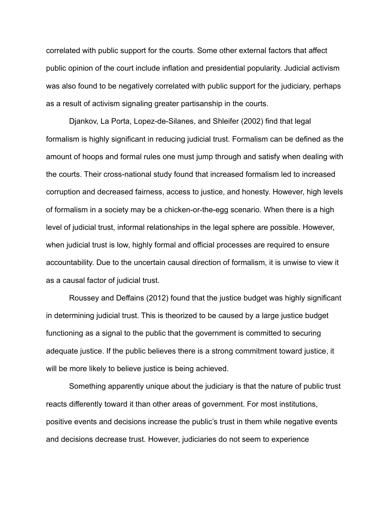correlated with public support for the courts. Some other external factors that affect public opinion of the court include inflation and presidential popularity. Judicial activism was also found to be negatively correlated with public support for the judiciary, perhaps as a result of activism signaling greater partisanship in the courts.

Djankov, La Porta, Lopez-de-Silanes, and Shleifer (2002) find that legal formalism is highly significant in reducing judicial trust. Formalism can be defined as the amount of hoops and formal rules one must jump through and satisfy when dealing with the courts. Their cross-national study found that increased formalism led to increased corruption and decreased fairness, access to justice, and honesty. However, high levels of formalism in a society may be a chicken-or-the-egg scenario. When there is a high level of judicial trust, informal relationships in the legal sphere are possible. However, when judicial trust is low, highly formal and official processes are required to ensure accountability. Due to the uncertain causal direction of formalism, it is unwise to view it as a causal factor of judicial trust.

Roussey and Deffains (2012) found that the justice budget was highly significant in determining judicial trust. This is theorized to be caused by a large justice budget functioning as a signal to the public that the government is committed to securing adequate justice. If the public believes there is a strong commitment toward justice, it will be more likely to believe justice is being achieved.

Something apparently unique about the judiciary is that the nature of public trust reacts differently toward it than other areas of government. For most institutions, positive events and decisions increase the public's trust in them while negative events and decisions decrease trust. However, judiciaries do not seem to experience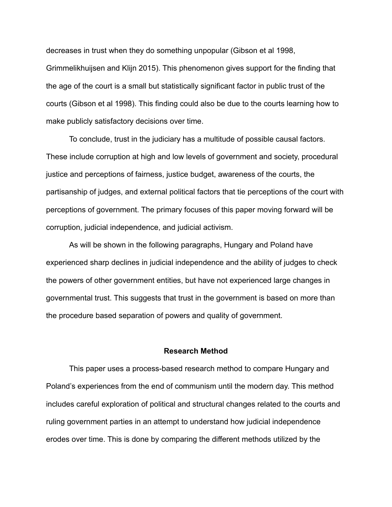decreases in trust when they do something unpopular (Gibson et al 1998, Grimmelikhuijsen and Klijn 2015). This phenomenon gives support for the finding that the age of the court is a small but statistically significant factor in public trust of the courts (Gibson et al 1998). This finding could also be due to the courts learning how to make publicly satisfactory decisions over time.

To conclude, trust in the judiciary has a multitude of possible causal factors. These include corruption at high and low levels of government and society, procedural justice and perceptions of fairness, justice budget, awareness of the courts, the partisanship of judges, and external political factors that tie perceptions of the court with perceptions of government. The primary focuses of this paper moving forward will be corruption, judicial independence, and judicial activism.

As will be shown in the following paragraphs, Hungary and Poland have experienced sharp declines in judicial independence and the ability of judges to check the powers of other government entities, but have not experienced large changes in governmental trust. This suggests that trust in the government is based on more than the procedure based separation of powers and quality of government.

# **Research Method**

This paper uses a process-based research method to compare Hungary and Poland's experiences from the end of communism until the modern day. This method includes careful exploration of political and structural changes related to the courts and ruling government parties in an attempt to understand how judicial independence erodes over time. This is done by comparing the different methods utilized by the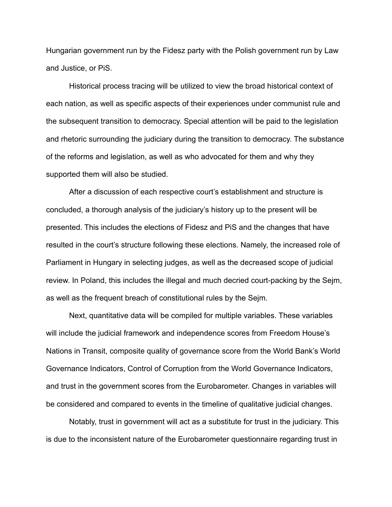Hungarian government run by the Fidesz party with the Polish government run by Law and Justice, or PiS.

Historical process tracing will be utilized to view the broad historical context of each nation, as well as specific aspects of their experiences under communist rule and the subsequent transition to democracy. Special attention will be paid to the legislation and rhetoric surrounding the judiciary during the transition to democracy. The substance of the reforms and legislation, as well as who advocated for them and why they supported them will also be studied.

After a discussion of each respective court's establishment and structure is concluded, a thorough analysis of the judiciary's history up to the present will be presented. This includes the elections of Fidesz and PiS and the changes that have resulted in the court's structure following these elections. Namely, the increased role of Parliament in Hungary in selecting judges, as well as the decreased scope of judicial review. In Poland, this includes the illegal and much decried court-packing by the Sejm, as well as the frequent breach of constitutional rules by the Sejm.

Next, quantitative data will be compiled for multiple variables. These variables will include the judicial framework and independence scores from Freedom House's Nations in Transit, composite quality of governance score from the World Bank's World Governance Indicators, Control of Corruption from the World Governance Indicators, and trust in the government scores from the Eurobarometer. Changes in variables will be considered and compared to events in the timeline of qualitative judicial changes.

Notably, trust in government will act as a substitute for trust in the judiciary. This is due to the inconsistent nature of the Eurobarometer questionnaire regarding trust in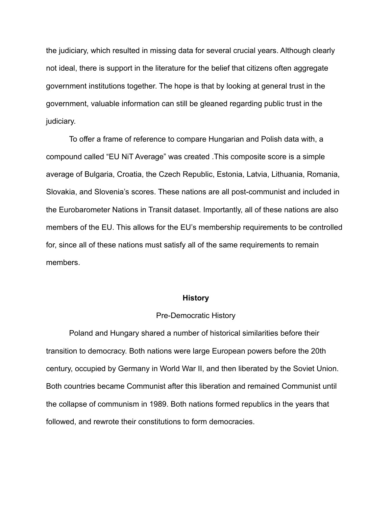the judiciary, which resulted in missing data for several crucial years. Although clearly not ideal, there is support in the literature for the belief that citizens often aggregate government institutions together. The hope is that by looking at general trust in the government, valuable information can still be gleaned regarding public trust in the judiciary.

To offer a frame of reference to compare Hungarian and Polish data with, a compound called "EU NiT Average" was created .This composite score is a simple average of Bulgaria, Croatia, the Czech Republic, Estonia, Latvia, Lithuania, Romania, Slovakia, and Slovenia's scores. These nations are all post-communist and included in the Eurobarometer Nations in Transit dataset. Importantly, all of these nations are also members of the EU. This allows for the EU's membership requirements to be controlled for, since all of these nations must satisfy all of the same requirements to remain members.

#### **History**

### Pre-Democratic History

Poland and Hungary shared a number of historical similarities before their transition to democracy. Both nations were large European powers before the 20th century, occupied by Germany in World War II, and then liberated by the Soviet Union. Both countries became Communist after this liberation and remained Communist until the collapse of communism in 1989. Both nations formed republics in the years that followed, and rewrote their constitutions to form democracies.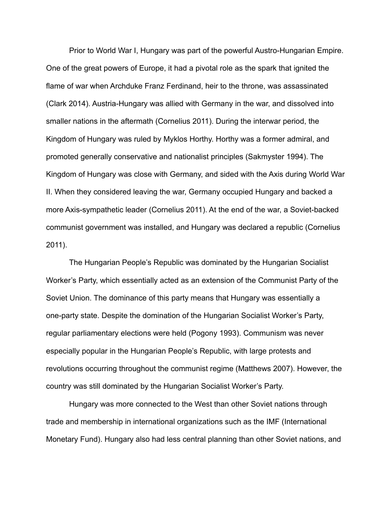Prior to World War I, Hungary was part of the powerful Austro-Hungarian Empire. One of the great powers of Europe, it had a pivotal role as the spark that ignited the flame of war when Archduke Franz Ferdinand, heir to the throne, was assassinated (Clark 2014). Austria-Hungary was allied with Germany in the war, and dissolved into smaller nations in the aftermath (Cornelius 2011). During the interwar period, the Kingdom of Hungary was ruled by Myklos Horthy. Horthy was a former admiral, and promoted generally conservative and nationalist principles (Sakmyster 1994). The Kingdom of Hungary was close with Germany, and sided with the Axis during World War II. When they considered leaving the war, Germany occupied Hungary and backed a more Axis-sympathetic leader (Cornelius 2011). At the end of the war, a Soviet-backed communist government was installed, and Hungary was declared a republic (Cornelius 2011).

The Hungarian People's Republic was dominated by the Hungarian Socialist Worker's Party, which essentially acted as an extension of the Communist Party of the Soviet Union. The dominance of this party means that Hungary was essentially a one-party state. Despite the domination of the Hungarian Socialist Worker's Party, regular parliamentary elections were held (Pogony 1993). Communism was never especially popular in the Hungarian People's Republic, with large protests and revolutions occurring throughout the communist regime (Matthews 2007). However, the country was still dominated by the Hungarian Socialist Worker's Party.

Hungary was more connected to the West than other Soviet nations through trade and membership in international organizations such as the IMF (International Monetary Fund). Hungary also had less central planning than other Soviet nations, and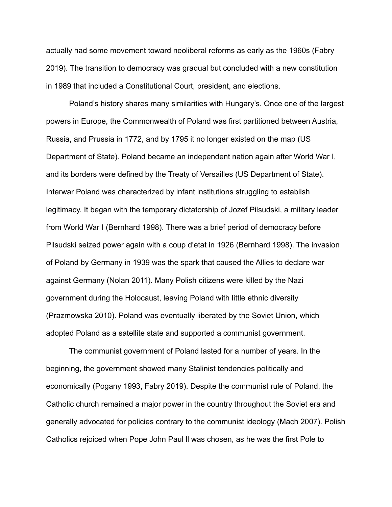actually had some movement toward neoliberal reforms as early as the 1960s (Fabry 2019). The transition to democracy was gradual but concluded with a new constitution in 1989 that included a Constitutional Court, president, and elections.

Poland's history shares many similarities with Hungary's. Once one of the largest powers in Europe, the Commonwealth of Poland was first partitioned between Austria, Russia, and Prussia in 1772, and by 1795 it no longer existed on the map (US Department of State). Poland became an independent nation again after World War I, and its borders were defined by the Treaty of Versailles (US Department of State). Interwar Poland was characterized by infant institutions struggling to establish legitimacy. It began with the temporary dictatorship of Jozef Pilsudski, a military leader from World War I (Bernhard 1998). There was a brief period of democracy before Pilsudski seized power again with a coup d'etat in 1926 (Bernhard 1998). The invasion of Poland by Germany in 1939 was the spark that caused the Allies to declare war against Germany (Nolan 2011). Many Polish citizens were killed by the Nazi government during the Holocaust, leaving Poland with little ethnic diversity (Prazmowska 2010). Poland was eventually liberated by the Soviet Union, which adopted Poland as a satellite state and supported a communist government.

The communist government of Poland lasted for a number of years. In the beginning, the government showed many Stalinist tendencies politically and economically (Pogany 1993, Fabry 2019). Despite the communist rule of Poland, the Catholic church remained a major power in the country throughout the Soviet era and generally advocated for policies contrary to the communist ideology (Mach 2007). Polish Catholics rejoiced when Pope John Paul ll was chosen, as he was the first Pole to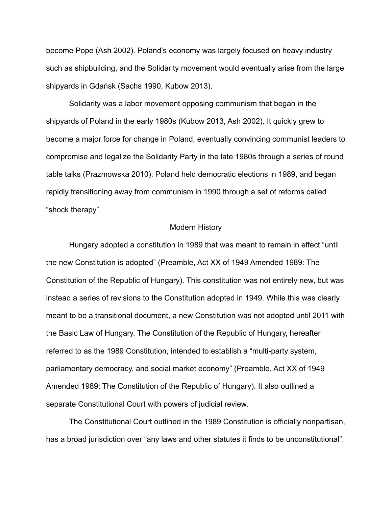become Pope (Ash 2002). Poland's economy was largely focused on heavy industry such as shipbuilding, and the Solidarity movement would eventually arise from the large shipyards in Gdańsk (Sachs 1990, Kubow 2013).

Solidarity was a labor movement opposing communism that began in the shipyards of Poland in the early 1980s (Kubow 2013, Ash 2002). It quickly grew to become a major force for change in Poland, eventually convincing communist leaders to compromise and legalize the Solidarity Party in the late 1980s through a series of round table talks (Prazmowska 2010). Poland held democratic elections in 1989, and began rapidly transitioning away from communism in 1990 through a set of reforms called "shock therapy".

#### Modern History

Hungary adopted a constitution in 1989 that was meant to remain in effect "until the new Constitution is adopted" (Preamble, Act XX of 1949 Amended 1989: The Constitution of the Republic of Hungary). This constitution was not entirely new, but was instead a series of revisions to the Constitution adopted in 1949. While this was clearly meant to be a transitional document, a new Constitution was not adopted until 2011 with the Basic Law of Hungary. The Constitution of the Republic of Hungary, hereafter referred to as the 1989 Constitution, intended to establish a "multi-party system, parliamentary democracy, and social market economy" (Preamble, Act XX of 1949 Amended 1989: The Constitution of the Republic of Hungary). It also outlined a separate Constitutional Court with powers of judicial review.

The Constitutional Court outlined in the 1989 Constitution is officially nonpartisan, has a broad jurisdiction over "any laws and other statutes it finds to be unconstitutional",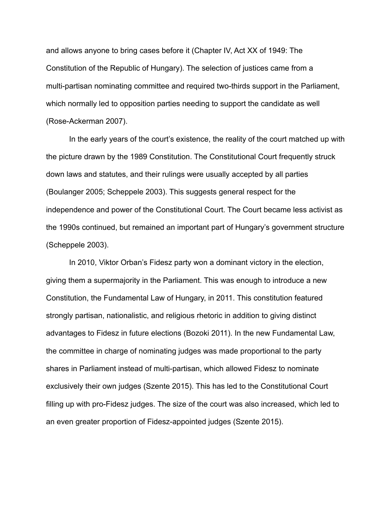and allows anyone to bring cases before it (Chapter IV, Act XX of 1949: The Constitution of the Republic of Hungary). The selection of justices came from a multi-partisan nominating committee and required two-thirds support in the Parliament, which normally led to opposition parties needing to support the candidate as well (Rose-Ackerman 2007).

In the early years of the court's existence, the reality of the court matched up with the picture drawn by the 1989 Constitution. The Constitutional Court frequently struck down laws and statutes, and their rulings were usually accepted by all parties (Boulanger 2005; Scheppele 2003). This suggests general respect for the independence and power of the Constitutional Court. The Court became less activist as the 1990s continued, but remained an important part of Hungary's government structure (Scheppele 2003).

In 2010, Viktor Orban's Fidesz party won a dominant victory in the election, giving them a supermajority in the Parliament. This was enough to introduce a new Constitution, the Fundamental Law of Hungary, in 2011. This constitution featured strongly partisan, nationalistic, and religious rhetoric in addition to giving distinct advantages to Fidesz in future elections (Bozoki 2011). In the new Fundamental Law, the committee in charge of nominating judges was made proportional to the party shares in Parliament instead of multi-partisan, which allowed Fidesz to nominate exclusively their own judges (Szente 2015). This has led to the Constitutional Court filling up with pro-Fidesz judges. The size of the court was also increased, which led to an even greater proportion of Fidesz-appointed judges (Szente 2015).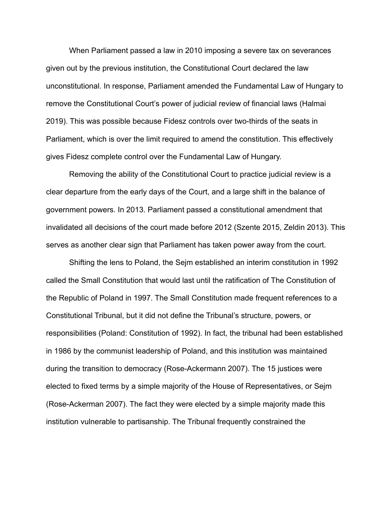When Parliament passed a law in 2010 imposing a severe tax on severances given out by the previous institution, the Constitutional Court declared the law unconstitutional. In response, Parliament amended the Fundamental Law of Hungary to remove the Constitutional Court's power of judicial review of financial laws (Halmai 2019). This was possible because Fidesz controls over two-thirds of the seats in Parliament, which is over the limit required to amend the constitution. This effectively gives Fidesz complete control over the Fundamental Law of Hungary.

Removing the ability of the Constitutional Court to practice judicial review is a clear departure from the early days of the Court, and a large shift in the balance of government powers. In 2013. Parliament passed a constitutional amendment that invalidated all decisions of the court made before 2012 (Szente 2015, Zeldin 2013). This serves as another clear sign that Parliament has taken power away from the court.

Shifting the lens to Poland, the Sejm established an interim constitution in 1992 called the Small Constitution that would last until the ratification of The Constitution of the Republic of Poland in 1997. The Small Constitution made frequent references to a Constitutional Tribunal, but it did not define the Tribunal's structure, powers, or responsibilities (Poland: Constitution of 1992). In fact, the tribunal had been established in 1986 by the communist leadership of Poland, and this institution was maintained during the transition to democracy (Rose-Ackermann 2007). The 15 justices were elected to fixed terms by a simple majority of the House of Representatives, or Sejm (Rose-Ackerman 2007). The fact they were elected by a simple majority made this institution vulnerable to partisanship. The Tribunal frequently constrained the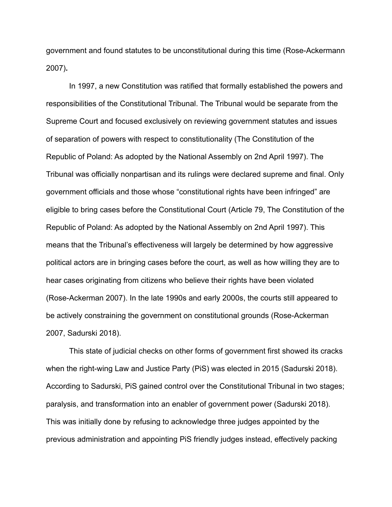government and found statutes to be unconstitutional during this time (Rose-Ackermann 2007)**.**

In 1997, a new Constitution was ratified that formally established the powers and responsibilities of the Constitutional Tribunal. The Tribunal would be separate from the Supreme Court and focused exclusively on reviewing government statutes and issues of separation of powers with respect to constitutionality (The Constitution of the Republic of Poland: As adopted by the National Assembly on 2nd April 1997). The Tribunal was officially nonpartisan and its rulings were declared supreme and final. Only government officials and those whose "constitutional rights have been infringed" are eligible to bring cases before the Constitutional Court (Article 79, The Constitution of the Republic of Poland: As adopted by the National Assembly on 2nd April 1997). This means that the Tribunal's effectiveness will largely be determined by how aggressive political actors are in bringing cases before the court, as well as how willing they are to hear cases originating from citizens who believe their rights have been violated (Rose-Ackerman 2007). In the late 1990s and early 2000s, the courts still appeared to be actively constraining the government on constitutional grounds (Rose-Ackerman 2007, Sadurski 2018).

This state of judicial checks on other forms of government first showed its cracks when the right-wing Law and Justice Party (PiS) was elected in 2015 (Sadurski 2018). According to Sadurski, PiS gained control over the Constitutional Tribunal in two stages; paralysis, and transformation into an enabler of government power (Sadurski 2018). This was initially done by refusing to acknowledge three judges appointed by the previous administration and appointing PiS friendly judges instead, effectively packing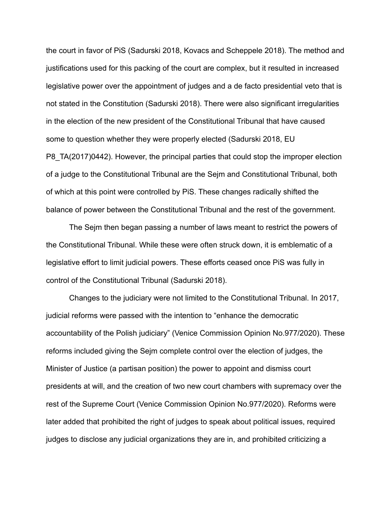the court in favor of PiS (Sadurski 2018, Kovacs and Scheppele 2018). The method and justifications used for this packing of the court are complex, but it resulted in increased legislative power over the appointment of judges and a de facto presidential veto that is not stated in the Constitution (Sadurski 2018). There were also significant irregularities in the election of the new president of the Constitutional Tribunal that have caused some to question whether they were properly elected (Sadurski 2018, EU P8\_TA(2017)0442). However, the principal parties that could stop the improper election of a judge to the Constitutional Tribunal are the Sejm and Constitutional Tribunal, both of which at this point were controlled by PiS. These changes radically shifted the balance of power between the Constitutional Tribunal and the rest of the government.

The Sejm then began passing a number of laws meant to restrict the powers of the Constitutional Tribunal. While these were often struck down, it is emblematic of a legislative effort to limit judicial powers. These efforts ceased once PiS was fully in control of the Constitutional Tribunal (Sadurski 2018).

Changes to the judiciary were not limited to the Constitutional Tribunal. In 2017, judicial reforms were passed with the intention to "enhance the democratic accountability of the Polish judiciary" (Venice Commission Opinion No.977/2020). These reforms included giving the Sejm complete control over the election of judges, the Minister of Justice (a partisan position) the power to appoint and dismiss court presidents at will, and the creation of two new court chambers with supremacy over the rest of the Supreme Court (Venice Commission Opinion No.977/2020). Reforms were later added that prohibited the right of judges to speak about political issues, required judges to disclose any judicial organizations they are in, and prohibited criticizing a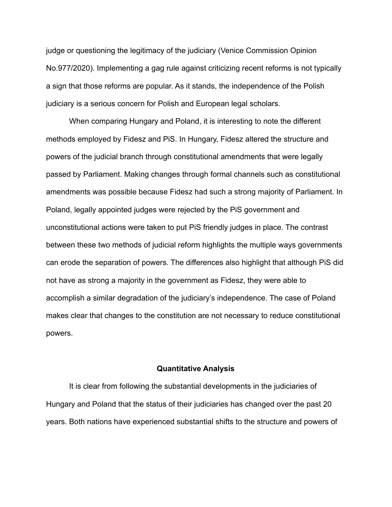judge or questioning the legitimacy of the judiciary (Venice Commission Opinion No.977/2020). Implementing a gag rule against criticizing recent reforms is not typically a sign that those reforms are popular. As it stands, the independence of the Polish judiciary is a serious concern for Polish and European legal scholars.

When comparing Hungary and Poland, it is interesting to note the different methods employed by Fidesz and PiS. In Hungary, Fidesz altered the structure and powers of the judicial branch through constitutional amendments that were legally passed by Parliament. Making changes through formal channels such as constitutional amendments was possible because Fidesz had such a strong majority of Parliament. In Poland, legally appointed judges were rejected by the PiS government and unconstitutional actions were taken to put PiS friendly judges in place. The contrast between these two methods of judicial reform highlights the multiple ways governments can erode the separation of powers. The differences also highlight that although PiS did not have as strong a majority in the government as Fidesz, they were able to accomplish a similar degradation of the judiciary's independence. The case of Poland makes clear that changes to the constitution are not necessary to reduce constitutional powers.

#### **Quantitative Analysis**

It is clear from following the substantial developments in the judiciaries of Hungary and Poland that the status of their judiciaries has changed over the past 20 years. Both nations have experienced substantial shifts to the structure and powers of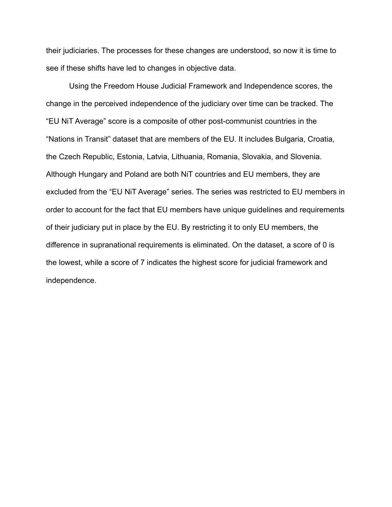their judiciaries. The processes for these changes are understood, so now it is time to see if these shifts have led to changes in objective data.

Using the Freedom House Judicial Framework and Independence scores, the change in the perceived independence of the judiciary over time can be tracked. The "EU NiT Average" score is a composite of other post-communist countries in the "Nations in Transit" dataset that are members of the EU. It includes Bulgaria, Croatia, the Czech Republic, Estonia, Latvia, Lithuania, Romania, Slovakia, and Slovenia. Although Hungary and Poland are both NiT countries and EU members, they are excluded from the "EU NiT Average" series. The series was restricted to EU members in order to account for the fact that EU members have unique guidelines and requirements of their judiciary put in place by the EU. By restricting it to only EU members, the difference in supranational requirements is eliminated. On the dataset, a score of 0 is the lowest, while a score of 7 indicates the highest score for judicial framework and independence.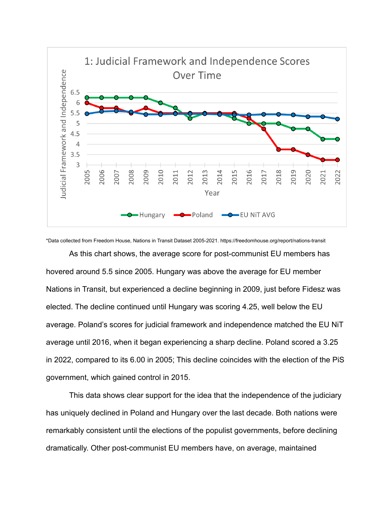

\*Data collected from Freedom House, Nations in Transit Dataset 2005-2021. https://freedomhouse.org/report/nations-transit

As this chart shows, the average score for post-communist EU members has hovered around 5.5 since 2005. Hungary was above the average for EU member Nations in Transit, but experienced a decline beginning in 2009, just before Fidesz was elected. The decline continued until Hungary was scoring 4.25, well below the EU average. Poland's scores for judicial framework and independence matched the EU NiT average until 2016, when it began experiencing a sharp decline. Poland scored a 3.25 in 2022, compared to its 6.00 in 2005; This decline coincides with the election of the PiS government, which gained control in 2015.

This data shows clear support for the idea that the independence of the judiciary has uniquely declined in Poland and Hungary over the last decade. Both nations were remarkably consistent until the elections of the populist governments, before declining dramatically. Other post-communist EU members have, on average, maintained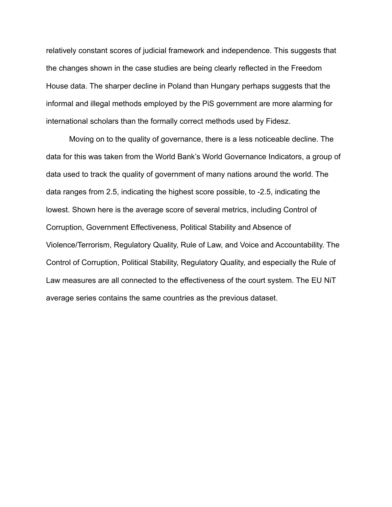relatively constant scores of judicial framework and independence. This suggests that the changes shown in the case studies are being clearly reflected in the Freedom House data. The sharper decline in Poland than Hungary perhaps suggests that the informal and illegal methods employed by the PiS government are more alarming for international scholars than the formally correct methods used by Fidesz.

Moving on to the quality of governance, there is a less noticeable decline. The data for this was taken from the World Bank's World Governance Indicators, a group of data used to track the quality of government of many nations around the world. The data ranges from 2.5, indicating the highest score possible, to -2.5, indicating the lowest. Shown here is the average score of several metrics, including Control of Corruption, Government Effectiveness, Political Stability and Absence of Violence/Terrorism, Regulatory Quality, Rule of Law, and Voice and Accountability. The Control of Corruption, Political Stability, Regulatory Quality, and especially the Rule of Law measures are all connected to the effectiveness of the court system. The EU NiT average series contains the same countries as the previous dataset.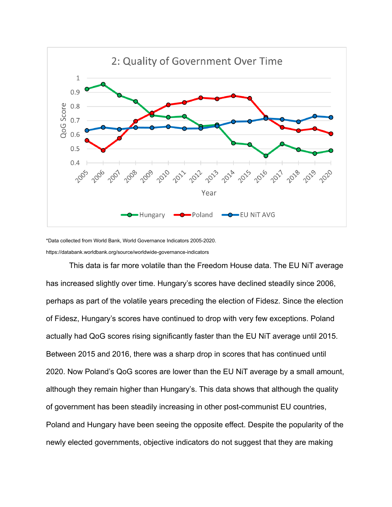

\*Data collected from World Bank, World Governance Indicators 2005-2020. https://databank.worldbank.org/source/worldwide-governance-indicators

This data is far more volatile than the Freedom House data. The EU NiT average has increased slightly over time. Hungary's scores have declined steadily since 2006, perhaps as part of the volatile years preceding the election of Fidesz. Since the election of Fidesz, Hungary's scores have continued to drop with very few exceptions. Poland actually had QoG scores rising significantly faster than the EU NiT average until 2015. Between 2015 and 2016, there was a sharp drop in scores that has continued until 2020. Now Poland's QoG scores are lower than the EU NiT average by a small amount, although they remain higher than Hungary's. This data shows that although the quality of government has been steadily increasing in other post-communist EU countries, Poland and Hungary have been seeing the opposite effect. Despite the popularity of the newly elected governments, objective indicators do not suggest that they are making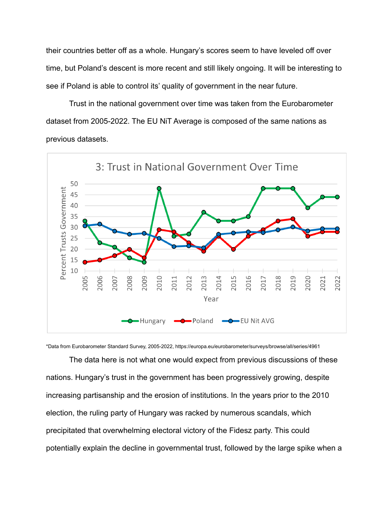their countries better off as a whole. Hungary's scores seem to have leveled off over time, but Poland's descent is more recent and still likely ongoing. It will be interesting to see if Poland is able to control its' quality of government in the near future.

Trust in the national government over time was taken from the Eurobarometer dataset from 2005-2022. The EU NiT Average is composed of the same nations as previous datasets.



\*Data from Eurobarometer Standard Survey, 2005-2022, https://europa.eu/eurobarometer/surveys/browse/all/series/4961

The data here is not what one would expect from previous discussions of these nations. Hungary's trust in the government has been progressively growing, despite increasing partisanship and the erosion of institutions. In the years prior to the 2010 election, the ruling party of Hungary was racked by numerous scandals, which precipitated that overwhelming electoral victory of the Fidesz party. This could potentially explain the decline in governmental trust, followed by the large spike when a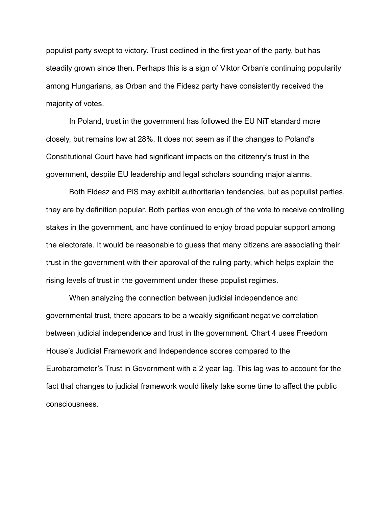populist party swept to victory. Trust declined in the first year of the party, but has steadily grown since then. Perhaps this is a sign of Viktor Orban's continuing popularity among Hungarians, as Orban and the Fidesz party have consistently received the majority of votes.

In Poland, trust in the government has followed the EU NiT standard more closely, but remains low at 28%. It does not seem as if the changes to Poland's Constitutional Court have had significant impacts on the citizenry's trust in the government, despite EU leadership and legal scholars sounding major alarms.

Both Fidesz and PiS may exhibit authoritarian tendencies, but as populist parties, they are by definition popular. Both parties won enough of the vote to receive controlling stakes in the government, and have continued to enjoy broad popular support among the electorate. It would be reasonable to guess that many citizens are associating their trust in the government with their approval of the ruling party, which helps explain the rising levels of trust in the government under these populist regimes.

When analyzing the connection between judicial independence and governmental trust, there appears to be a weakly significant negative correlation between judicial independence and trust in the government. Chart 4 uses Freedom House's Judicial Framework and Independence scores compared to the Eurobarometer's Trust in Government with a 2 year lag. This lag was to account for the fact that changes to judicial framework would likely take some time to affect the public consciousness.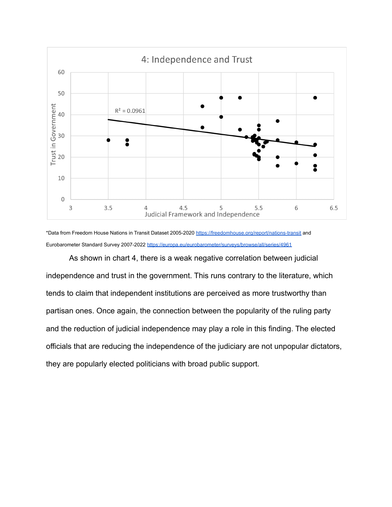

\*Data from Freedom House Nations in Transit Dataset 2005-2020 <https://freedomhouse.org/report/nations-transit> and Eurobarometer Standard Survey 2007-2022 <https://europa.eu/eurobarometer/surveys/browse/all/series/4961>

As shown in chart 4, there is a weak negative correlation between judicial independence and trust in the government. This runs contrary to the literature, which tends to claim that independent institutions are perceived as more trustworthy than partisan ones. Once again, the connection between the popularity of the ruling party and the reduction of judicial independence may play a role in this finding. The elected officials that are reducing the independence of the judiciary are not unpopular dictators, they are popularly elected politicians with broad public support.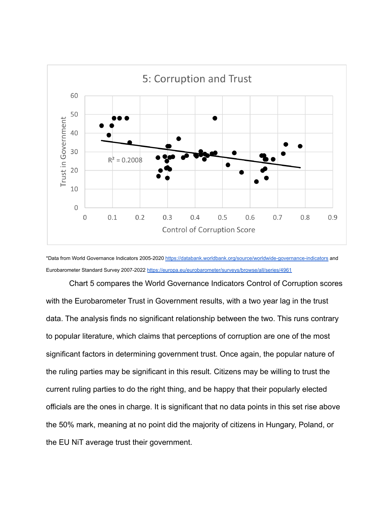

\*Data from World Governance Indicators 2005-2020 <https://databank.worldbank.org/source/worldwide-governance-indicators> and Eurobarometer Standard Survey 2007-2022 <https://europa.eu/eurobarometer/surveys/browse/all/series/4961>

Chart 5 compares the World Governance Indicators Control of Corruption scores with the Eurobarometer Trust in Government results, with a two year lag in the trust data. The analysis finds no significant relationship between the two. This runs contrary to popular literature, which claims that perceptions of corruption are one of the most significant factors in determining government trust. Once again, the popular nature of the ruling parties may be significant in this result. Citizens may be willing to trust the current ruling parties to do the right thing, and be happy that their popularly elected officials are the ones in charge. It is significant that no data points in this set rise above the 50% mark, meaning at no point did the majority of citizens in Hungary, Poland, or the EU NiT average trust their government.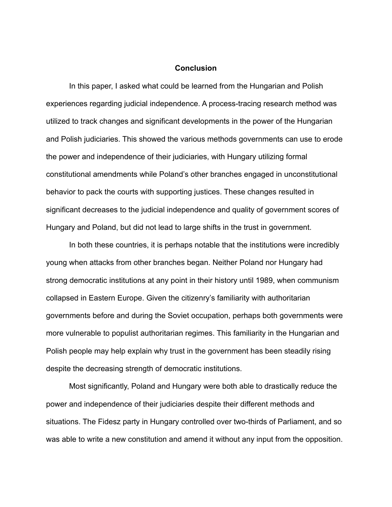### **Conclusion**

In this paper, I asked what could be learned from the Hungarian and Polish experiences regarding judicial independence. A process-tracing research method was utilized to track changes and significant developments in the power of the Hungarian and Polish judiciaries. This showed the various methods governments can use to erode the power and independence of their judiciaries, with Hungary utilizing formal constitutional amendments while Poland's other branches engaged in unconstitutional behavior to pack the courts with supporting justices. These changes resulted in significant decreases to the judicial independence and quality of government scores of Hungary and Poland, but did not lead to large shifts in the trust in government.

In both these countries, it is perhaps notable that the institutions were incredibly young when attacks from other branches began. Neither Poland nor Hungary had strong democratic institutions at any point in their history until 1989, when communism collapsed in Eastern Europe. Given the citizenry's familiarity with authoritarian governments before and during the Soviet occupation, perhaps both governments were more vulnerable to populist authoritarian regimes. This familiarity in the Hungarian and Polish people may help explain why trust in the government has been steadily rising despite the decreasing strength of democratic institutions.

Most significantly, Poland and Hungary were both able to drastically reduce the power and independence of their judiciaries despite their different methods and situations. The Fidesz party in Hungary controlled over two-thirds of Parliament, and so was able to write a new constitution and amend it without any input from the opposition.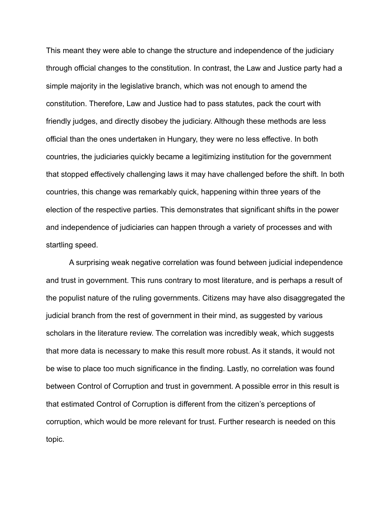This meant they were able to change the structure and independence of the judiciary through official changes to the constitution. In contrast, the Law and Justice party had a simple majority in the legislative branch, which was not enough to amend the constitution. Therefore, Law and Justice had to pass statutes, pack the court with friendly judges, and directly disobey the judiciary. Although these methods are less official than the ones undertaken in Hungary, they were no less effective. In both countries, the judiciaries quickly became a legitimizing institution for the government that stopped effectively challenging laws it may have challenged before the shift. In both countries, this change was remarkably quick, happening within three years of the election of the respective parties. This demonstrates that significant shifts in the power and independence of judiciaries can happen through a variety of processes and with startling speed.

A surprising weak negative correlation was found between judicial independence and trust in government. This runs contrary to most literature, and is perhaps a result of the populist nature of the ruling governments. Citizens may have also disaggregated the judicial branch from the rest of government in their mind, as suggested by various scholars in the literature review. The correlation was incredibly weak, which suggests that more data is necessary to make this result more robust. As it stands, it would not be wise to place too much significance in the finding. Lastly, no correlation was found between Control of Corruption and trust in government. A possible error in this result is that estimated Control of Corruption is different from the citizen's perceptions of corruption, which would be more relevant for trust. Further research is needed on this topic.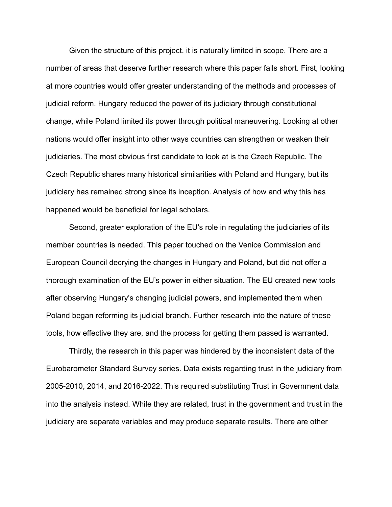Given the structure of this project, it is naturally limited in scope. There are a number of areas that deserve further research where this paper falls short. First, looking at more countries would offer greater understanding of the methods and processes of judicial reform. Hungary reduced the power of its judiciary through constitutional change, while Poland limited its power through political maneuvering. Looking at other nations would offer insight into other ways countries can strengthen or weaken their judiciaries. The most obvious first candidate to look at is the Czech Republic. The Czech Republic shares many historical similarities with Poland and Hungary, but its judiciary has remained strong since its inception. Analysis of how and why this has happened would be beneficial for legal scholars.

Second, greater exploration of the EU's role in regulating the judiciaries of its member countries is needed. This paper touched on the Venice Commission and European Council decrying the changes in Hungary and Poland, but did not offer a thorough examination of the EU's power in either situation. The EU created new tools after observing Hungary's changing judicial powers, and implemented them when Poland began reforming its judicial branch. Further research into the nature of these tools, how effective they are, and the process for getting them passed is warranted.

Thirdly, the research in this paper was hindered by the inconsistent data of the Eurobarometer Standard Survey series. Data exists regarding trust in the judiciary from 2005-2010, 2014, and 2016-2022. This required substituting Trust in Government data into the analysis instead. While they are related, trust in the government and trust in the judiciary are separate variables and may produce separate results. There are other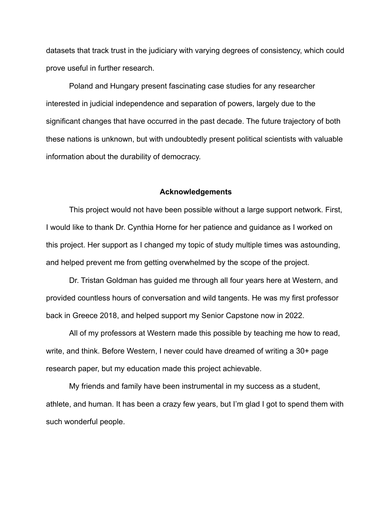datasets that track trust in the judiciary with varying degrees of consistency, which could prove useful in further research.

Poland and Hungary present fascinating case studies for any researcher interested in judicial independence and separation of powers, largely due to the significant changes that have occurred in the past decade. The future trajectory of both these nations is unknown, but with undoubtedly present political scientists with valuable information about the durability of democracy.

#### **Acknowledgements**

This project would not have been possible without a large support network. First, I would like to thank Dr. Cynthia Horne for her patience and guidance as I worked on this project. Her support as I changed my topic of study multiple times was astounding, and helped prevent me from getting overwhelmed by the scope of the project.

Dr. Tristan Goldman has guided me through all four years here at Western, and provided countless hours of conversation and wild tangents. He was my first professor back in Greece 2018, and helped support my Senior Capstone now in 2022.

All of my professors at Western made this possible by teaching me how to read, write, and think. Before Western, I never could have dreamed of writing a 30+ page research paper, but my education made this project achievable.

My friends and family have been instrumental in my success as a student, athlete, and human. It has been a crazy few years, but I'm glad I got to spend them with such wonderful people.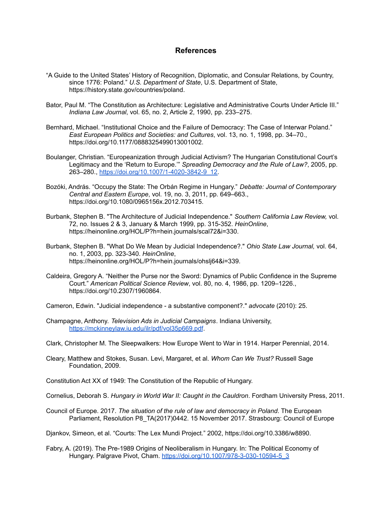## **References**

- "A Guide to the United States' History of Recognition, Diplomatic, and Consular Relations, by Country, since 1776: Poland." *U.S. Department of State*, U.S. Department of State, https://history.state.gov/countries/poland.
- Bator, Paul M. "The Constitution as Architecture: Legislative and Administrative Courts Under Article III." *Indiana Law Journal*, vol. 65, no. 2, Article 2, 1990, pp. 233–275.
- Bernhard, Michael. "Institutional Choice and the Failure of Democracy: The Case of Interwar Poland." *East European Politics and Societies: and Cultures*, vol. 13, no. 1, 1998, pp. 34–70., https://doi.org/10.1177/0888325499013001002.
- Boulanger, Christian. "Europeanization through Judicial Activism? The Hungarian Constitutional Court's Legitimacy and the 'Return to Europe.'" *Spreading Democracy and the Rule of Law?*, 2005, pp. 263–280., [https://doi.org/10.1007/1-4020-3842-9\\_12.](https://doi.org/10.1007/1-4020-3842-9_12)
- Bozóki, András. "Occupy the State: The Orbán Regime in Hungary." *Debatte: Journal of Contemporary Central and Eastern Europe*, vol. 19, no. 3, 2011, pp. 649–663., https://doi.org/10.1080/0965156x.2012.703415.
- Burbank, Stephen B. "The Architecture of Judicial Independence." *Southern California Law Review,* vol. 72, no. Issues 2 & 3, January & March 1999, pp. 315-352. *HeinOnline*, https://heinonline.org/HOL/P?h=hein.journals/scal72&i=330.
- Burbank, Stephen B. "What Do We Mean by Judicial Independence?." *Ohio State Law Journal,* vol. 64, no. 1, 2003, pp. 323-340. *HeinOnline*, https://heinonline.org/HOL/P?h=hein.journals/ohslj64&i=339.
- Caldeira, Gregory A. "Neither the Purse nor the Sword: Dynamics of Public Confidence in the Supreme Court." *American Political Science Review*, vol. 80, no. 4, 1986, pp. 1209–1226., https://doi.org/10.2307/1960864.

Cameron, Edwin. "Judicial independence - a substantive component?." *advocate* (2010): 25.

- Champagne, Anthony. *Television Ads in Judicial Campaigns*. Indiana University, <https://mckinneylaw.iu.edu/ilr/pdf/vol35p669.pdf>.
- Clark, Christopher M. The Sleepwalkers: How Europe Went to War in 1914. Harper Perennial, 2014.
- Cleary, Matthew and Stokes, Susan. Levi, Margaret, et al. *Whom Can We Trust?* Russell Sage Foundation, 2009.

Constitution Act XX of 1949: The Constitution of the Republic of Hungary.

Cornelius, Deborah S. *Hungary in World War II: Caught in the Cauldron*. Fordham University Press, 2011.

Council of Europe. 2017. *The situation of the rule of law and democracy in Poland*. The European Parliament, Resolution P8\_TA(2017)0442. 15 November 2017. Strasbourg: Council of Europe

Djankov, Simeon, et al. "Courts: The Lex Mundi Project." 2002, https://doi.org/10.3386/w8890.

Fabry, A. (2019). The Pre-1989 Origins of Neoliberalism in Hungary. In: The Political Economy of Hungary. Palgrave Pivot, Cham. [https://doi.org/10.1007/978-3-030-10594-5\\_3](https://doi.org/10.1007/978-3-030-10594-5_3)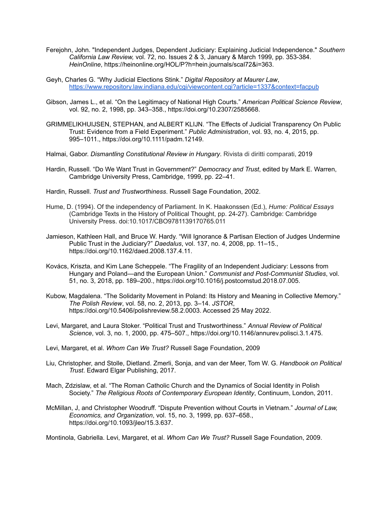- Ferejohn, John. "Independent Judges, Dependent Judiciary: Explaining Judicial Independence." *Southern California Law Review,* vol. 72, no. Issues 2 & 3, January & March 1999, pp. 353-384. *HeinOnline*, https://heinonline.org/HOL/P?h=hein.journals/scal72&i=363.
- Geyh, Charles G. "Why Judicial Elections Stink." *Digital Repository at Maurer Law*, <https://www.repository.law.indiana.edu/cgi/viewcontent.cgi?article=1337&context=facpub>
- Gibson, James L., et al. "On the Legitimacy of National High Courts." *American Political Science Review*, vol. 92, no. 2, 1998, pp. 343–358., https://doi.org/10.2307/2585668.
- GRIMMELIKHUIJSEN, STEPHAN, and ALBERT KLIJN. "The Effects of Judicial Transparency On Public Trust: Evidence from a Field Experiment." *Public Administration*, vol. 93, no. 4, 2015, pp. 995–1011., https://doi.org/10.1111/padm.12149.
- Halmai, Gabor. *Dismantling Constitutional Review in Hungary*. Rivista di diritti comparati, 2019
- Hardin, Russell. "Do We Want Trust in Government?" *Democracy and Trust*, edited by Mark E. Warren, Cambridge University Press, Cambridge, 1999, pp. 22–41.
- Hardin, Russell. *Trust and Trustworthiness*. Russell Sage Foundation, 2002.
- Hume, D. (1994). Of the independency of Parliament. In K. Haakonssen (Ed.), *Hume: Political Essays* (Cambridge Texts in the History of Political Thought, pp. 24-27). Cambridge: Cambridge University Press. doi:10.1017/CBO9781139170765.011
- Jamieson, Kathleen Hall, and Bruce W. Hardy. "Will Ignorance & Partisan Election of Judges Undermine Public Trust in the Judiciary?" *Daedalus*, vol. 137, no. 4, 2008, pp. 11–15., https://doi.org/10.1162/daed.2008.137.4.11.
- Kovács, Kriszta, and Kim Lane Scheppele. "The Fragility of an Independent Judiciary: Lessons from Hungary and Poland—and the European Union." *Communist and Post-Communist Studies*, vol. 51, no. 3, 2018, pp. 189–200., https://doi.org/10.1016/j.postcomstud.2018.07.005.
- Kubow, Magdalena. "The Solidarity Movement in Poland: Its History and Meaning in Collective Memory." *The Polish Review*, vol. 58, no. 2, 2013, pp. 3–14. *JSTOR*, https://doi.org/10.5406/polishreview.58.2.0003. Accessed 25 May 2022.
- Levi, Margaret, and Laura Stoker. "Political Trust and Trustworthiness." *Annual Review of Political Science*, vol. 3, no. 1, 2000, pp. 475–507., https://doi.org/10.1146/annurev.polisci.3.1.475.
- Levi, Margaret, et al. *Whom Can We Trust?* Russell Sage Foundation, 2009
- Liu, Christopher, and Stolle, Dietland. Zmerli, Sonja, and van der Meer, Tom W. G. *Handbook on Political Trust*. Edward Elgar Publishing, 2017.
- Mach, Zdzislaw, et al. "The Roman Catholic Church and the Dynamics of Social Identity in Polish Society." *The Religious Roots of Contemporary European Identity*, Continuum, London, 2011.
- McMillan, J, and Christopher Woodruff. "Dispute Prevention without Courts in Vietnam." *Journal of Law, Economics, and Organization*, vol. 15, no. 3, 1999, pp. 637–658., https://doi.org/10.1093/jleo/15.3.637.

Montinola, Gabriella. Levi, Margaret, et al. *Whom Can We Trust?* Russell Sage Foundation, 2009.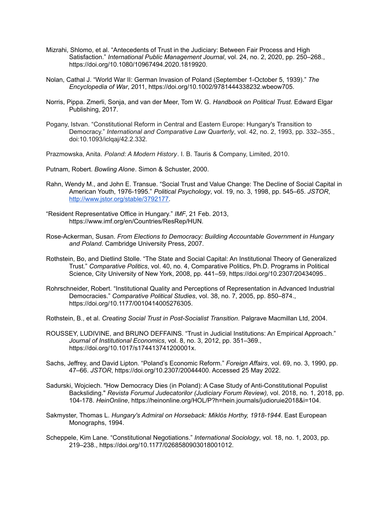- Mizrahi, Shlomo, et al. "Antecedents of Trust in the Judiciary: Between Fair Process and High Satisfaction." *International Public Management Journal*, vol. 24, no. 2, 2020, pp. 250–268., https://doi.org/10.1080/10967494.2020.1819920.
- Nolan, Cathal J. "World War II: German Invasion of Poland (September 1-October 5, 1939)." *The Encyclopedia of War*, 2011, https://doi.org/10.1002/9781444338232.wbeow705.
- Norris, Pippa. Zmerli, Sonja, and van der Meer, Tom W. G. *Handbook on Political Trust*. Edward Elgar Publishing, 2017.
- Pogany, Istvan. "Constitutional Reform in Central and Eastern Europe: Hungary's Transition to Democracy." *International and Comparative Law Quarterly*, vol. 42, no. 2, 1993, pp. 332–355., doi:10.1093/iclqaj/42.2.332.
- Prazmowska, Anita. *Poland: A Modern History*. I. B. Tauris & Company, Limited, 2010.
- Putnam, Robert. *Bowling Alone*. Simon & Schuster, 2000.
- Rahn, Wendy M., and John E. Transue. "Social Trust and Value Change: The Decline of Social Capital in American Youth, 1976-1995." *Political Psychology*, vol. 19, no. 3, 1998, pp. 545–65. *JSTOR*, [http://www.jstor.org/stable/3792177.](http://www.jstor.org/stable/3792177)
- "Resident Representative Office in Hungary." *IMF*, 21 Feb. 2013, https://www.imf.org/en/Countries/ResRep/HUN.
- Rose-Ackerman, Susan. *From Elections to Democracy: Building Accountable Government in Hungary and Poland*. Cambridge University Press, 2007.
- Rothstein, Bo, and Dietlind Stolle. "The State and Social Capital: An Institutional Theory of Generalized Trust." *Comparative Politics*, vol. 40, no. 4, Comparative Politics, Ph.D. Programs in Political Science, City University of New York, 2008, pp. 441–59, https://doi.org/10.2307/20434095..
- Rohrschneider, Robert. "Institutional Quality and Perceptions of Representation in Advanced Industrial Democracies." *Comparative Political Studies*, vol. 38, no. 7, 2005, pp. 850–874., https://doi.org/10.1177/0010414005276305.
- Rothstein, B., et al. *Creating Social Trust in Post-Socialist Transition*. Palgrave Macmillan Ltd, 2004.
- ROUSSEY, LUDIVINE, and BRUNO DEFFAINS. "Trust in Judicial Institutions: An Empirical Approach." *Journal of Institutional Economics*, vol. 8, no. 3, 2012, pp. 351–369., https://doi.org/10.1017/s174413741200001x.
- Sachs, Jeffrey, and David Lipton. "Poland's Economic Reform." *Foreign Affairs*, vol. 69, no. 3, 1990, pp. 47–66. *JSTOR*, https://doi.org/10.2307/20044400. Accessed 25 May 2022.
- Sadurski, Wojciech. "How Democracy Dies (in Poland): A Case Study of Anti-Constitutional Populist Backsliding." *Revista Forumul Judecatorilor (Judiciary Forum Review),* vol. 2018, no. 1, 2018, pp. 104-178. *HeinOnline*, https://heinonline.org/HOL/P?h=hein.journals/judioruie2018&i=104.
- Sakmyster, Thomas L. *Hungary's Admiral on Horseback: Miklós Horthy, 1918-1944*. East European Monographs, 1994.
- Scheppele, Kim Lane. "Constitutional Negotiations." *International Sociology*, vol. 18, no. 1, 2003, pp. 219–238., https://doi.org/10.1177/0268580903018001012.